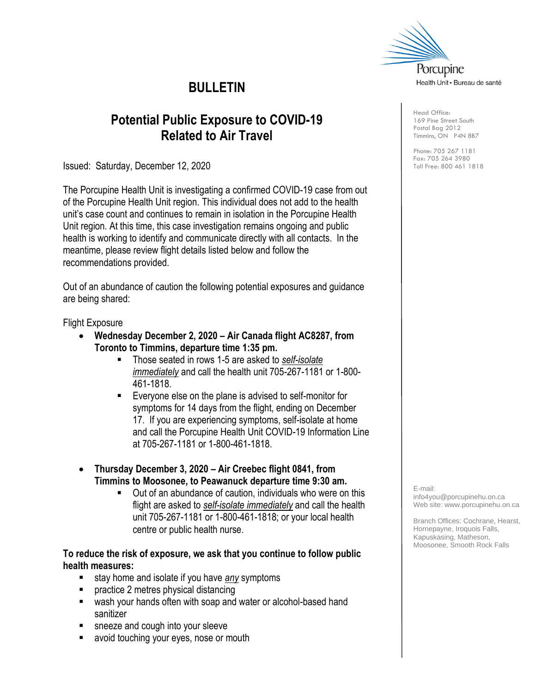

# **BULLETIN**

# **Potential Public Exposure to COVID-19 Related to Air Travel**

Issued: Saturday, December 12, 2020

The Porcupine Health Unit is investigating a confirmed COVID-19 case from out of the Porcupine Health Unit region. This individual does not add to the health unit's case count and continues to remain in isolation in the Porcupine Health Unit region. At this time, this case investigation remains ongoing and public health is working to identify and communicate directly with all contacts. In the meantime, please review flight details listed below and follow the recommendations provided.

Out of an abundance of caution the following potential exposures and guidance are being shared:

Flight Exposure

- **Wednesday December 2, 2020 – Air Canada flight AC8287, from Toronto to Timmins, departure time 1:35 pm.**
	- Those seated in rows 1-5 are asked to *self-isolate immediately* and call the health unit 705-267-1181 or 1-800- 461-1818.
	- Everyone else on the plane is advised to self-monitor for symptoms for 14 days from the flight, ending on December 17. If you are experiencing symptoms, self-isolate at home and call the Porcupine Health Unit COVID-19 Information Line at 705-267-1181 or 1-800-461-1818.
- **Thursday December 3, 2020 – Air Creebec flight 0841, from Timmins to Moosonee, to Peawanuck departure time 9:30 am.**
	- Out of an abundance of caution, individuals who were on this flight are asked to *self-isolate immediately* and call the health unit 705-267-1181 or 1-800-461-1818; or your local health centre or public health nurse.

### **To reduce the risk of exposure, we ask that you continue to follow public health measures:**

- stay home and isolate if you have *any* symptoms
- practice 2 metres physical distancing
- wash your hands often with soap and water or alcohol-based hand sanitizer
- sneeze and cough into your sleeve
- avoid touching your eyes, nose or mouth

Head Office: 169 Pine Street South Postal Bag 2012 Timmins, ON P4N 8B7

Phone: 705 267 1181 Fax: 705 264 3980 Toll Free: 800 461 1818

E-mail:

info4you@porcupinehu.on.ca Web site: [www.porcupinehu.on.ca](http://www.porcupinehu.on.ca/)

Branch Offices: Cochrane, Hearst, Hornepayne, Iroquois Falls, Kapuskasing, Matheson, Moosonee, Smooth Rock Falls